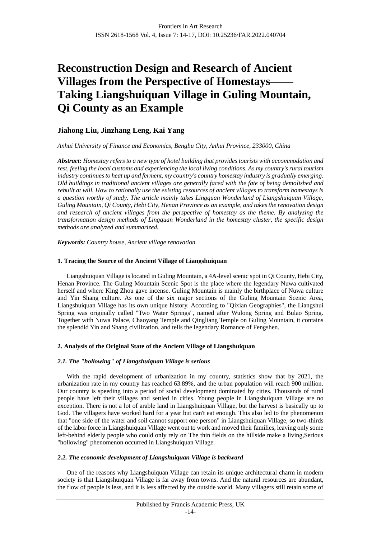# **Reconstruction Design and Research of Ancient Villages from the Perspective of Homestays—— Taking Liangshuiquan Village in Guling Mountain, Qi County as an Example**

## **Jiahong Liu, Jinzhang Leng, Kai Yang**

## *Anhui University of Finance and Economics, Bengbu City, Anhui Province, 233000, China*

*Abstract: Homestay refers to a new type of hotel building that provides tourists with accommodation and rest, feeling the local customs and experiencing the local living conditions. As my country's rural tourism industry continues to heat up and ferment, my country's country homestay industry is gradually emerging. Old buildings in traditional ancient villages are generally faced with the fate of being demolished and rebuilt at will. How to rationally use the existing resources of ancient villages to transform homestays is a question worthy of study. The article mainly takes Lingquan Wonderland of Liangshuiquan Village, Guling Mountain, Qi County, Hebi City, Henan Province as an example, and takes the renovation design and research of ancient villages from the perspective of homestay as the theme. By analyzing the transformation design methods of Lingquan Wonderland in the homestay cluster, the specific design methods are analyzed and summarized.*

*Keywords: Country house, Ancient village renovation*

## **1. Tracing the Source of the Ancient Village of Liangshuiquan**

Liangshuiquan Village is located in Guling Mountain, a 4A-level scenic spot in Qi County, Hebi City, Henan Province. The Guling Mountain Scenic Spot is the place where the legendary Nuwa cultivated herself and where King Zhou gave incense. Guling Mountain is mainly the birthplace of Nuwa culture and Yin Shang culture. As one of the six major sections of the Guling Mountain Scenic Area, Liangshuiquan Village has its own unique history. According to "Qixian Geographies", the Liangshui Spring was originally called "Two Water Springs", named after Wulong Spring and Bulao Spring. Together with Nuwa Palace, Chaoyang Temple and Qingliang Temple on Guling Mountain, it contains the splendid Yin and Shang civilization, and tells the legendary Romance of Fengshen.

## **2. Analysis of the Original State of the Ancient Village of Liangshuiquan**

## *2.1. The "hollowing" of Liangshuiquan Village is serious*

With the rapid development of urbanization in my country, statistics show that by 2021, the urbanization rate in my country has reached 63.89%, and the urban population will reach 900 million. Our country is speeding into a period of social development dominated by cities. Thousands of rural people have left their villages and settled in cities. Young people in Liangshuiquan Village are no exception. There is not a lot of arable land in Liangshuiquan Village, but the harvest is basically up to God. The villagers have worked hard for a year but can't eat enough. This also led to the phenomenon that "one side of the water and soil cannot support one person" in Liangshuiquan Village, so two-thirds of the labor force in Liangshuiquan Village went out to work and moved their families, leaving only some left-behind elderly people who could only rely on The thin fields on the hillside make a living,Serious "hollowing" phenomenon occurred in Liangshuiquan Village.

## *2.2. The economic development of Liangshuiquan Village is backward*

One of the reasons why Liangshuiquan Village can retain its unique architectural charm in modern society is that Liangshuiquan Village is far away from towns. And the natural resources are abundant, the flow of people is less, and it is less affected by the outside world. Many villagers still retain some of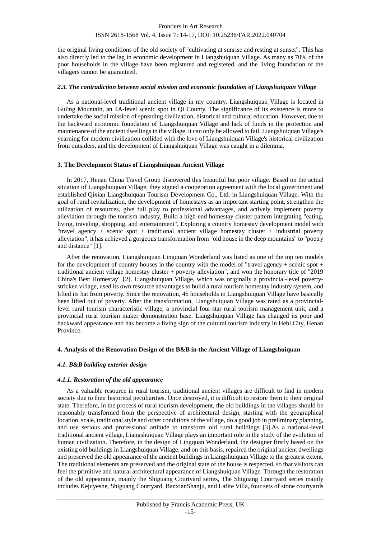### ISSN 2618-1568 Vol. 4, Issue 7: 14-17, DOI: 10.25236/FAR.2022.040704

the original living conditions of the old society of "cultivating at sunrise and resting at sunset". This has also directly led to the lag in economic development in Liangshuiquan Village. As many as 70% of the poor households in the village have been registered and registered, and the living foundation of the villagers cannot be guaranteed.

#### *2.3. The contradiction between social mission and economic foundation of Liangshuiquan Village*

As a national-level traditional ancient village in my country, Liangshuiquan Village is located in Guling Mountain, an 4A-level scenic spot in Qi County. The significance of its existence is more to undertake the social mission of spreading civilization, historical and cultural education. However, due to the backward economic foundation of Liangshuiquan Village and lack of funds in the protection and maintenance of the ancient dwellings in the village, it can only be allowed to fail. Liangshuiquan Village's yearning for modern civilization collided with the love of Liangshuiquan Village's historical civilization from outsiders, and the development of Liangshuiquan Village was caught in a dilemma.

#### **3. The Development Status of Liangshuiquan Ancient Village**

In 2017, Henan China Travel Group discovered this beautiful but poor village. Based on the actual situation of Liangshuiquan Village, they signed a cooperation agreement with the local government and established Qixian Liangshuiquan Tourism Development Co., Ltd. in Liangshuiquan Village. With the goal of rural revitalization, the development of homestays as an important starting point, strengthen the utilization of resources, give full play to professional advantages, and actively implement poverty alleviation through the tourism industry, Build a high-end homestay cluster pattern integrating "eating, living, traveling, shopping, and entertainment", Exploring a country homestay development model with "travel agency + scenic spot + traditional ancient village homestay cluster + industrial poverty alleviation", it has achieved a gorgeous transformation from "old house in the deep mountains" to "poetry and distance" [1].

After the renovation, Liangshuiquan Lingquan Wonderland was listed as one of the top ten models for the development of country houses in the country with the model of "travel agency + scenic spot + traditional ancient village homestay cluster + poverty alleviation", and won the honorary title of "2019 China's Best Homestay" [2]. Liangshuiquan Village, which was originally a provincial-level povertystricken village, used its own resource advantages to build a rural tourism homestay industry system, and lifted its hat from poverty. Since the renovation, 46 households in Liangshuiquan Village have basically been lifted out of poverty. After the transformation, Liangshuiquan Village was rated as a provinciallevel rural tourism characteristic village, a provincial four-star rural tourism management unit, and a provincial rural tourism maker demonstration base. Liangshuiquan Village has changed its poor and backward appearance and has become a living sign of the cultural tourism industry in Hebi City, Henan Province.

#### **4. Analysis of the Renovation Design of the B&B in the Ancient Village of Liangshuiquan**

#### *4.1. B&B building exterior design*

#### *4.1.1. Restoration of the old appearance*

As a valuable resource in rural tourism, traditional ancient villages are difficult to find in modern society due to their historical peculiarities. Once destroyed, it is difficult to restore them to their original state. Therefore, in the process of rural tourism development, the old buildings in the villages should be reasonably transformed from the perspective of architectural design, starting with the geographical location, scale, traditional style and other conditions of the village, do a good job in preliminary planning, and use serious and professional attitude to transform old rural buildings [3].As a national-level traditional ancient village, Liangshuiquan Village plays an important role in the study of the evolution of human civilization. Therefore, in the design of Lingquan Wonderland, the designer firstly based on the existing old buildings in Liangshuiquan Village, and on this basis, repaired the original ancient dwellings and preserved the old appearance of the ancient buildings in Liangshuiquan Village to the greatest extent. The traditional elements are preserved and the original state of the house is respected, so that visitors can feel the primitive and natural architectural appearance of Liangshuiquan Village. Through the restoration of the old appearance, mainly the Shiguang Courtyard series, The Shiguang Courtyard series mainly includes Kejuyeshe, Shiguang Courtyard, BanxianShanju, and Lafite Villa, four sets of stone courtyards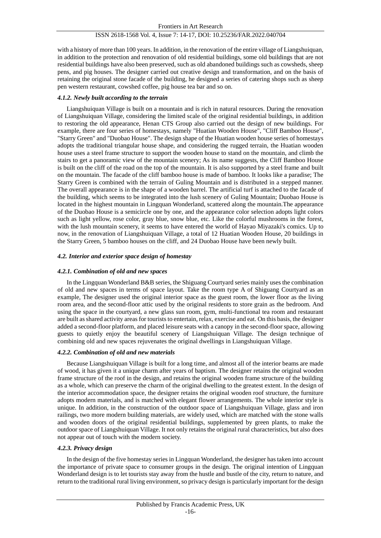## ISSN 2618-1568 Vol. 4, Issue 7: 14-17, DOI: 10.25236/FAR.2022.040704

with a history of more than 100 years. In addition, in the renovation of the entire village of Liangshuiquan, in addition to the protection and renovation of old residential buildings, some old buildings that are not residential buildings have also been preserved, such as old abandoned buildings such as cowsheds, sheep pens, and pig houses. The designer carried out creative design and transformation, and on the basis of retaining the original stone facade of the building, he designed a series of catering shops such as sheep pen western restaurant, cowshed coffee, pig house tea bar and so on.

## *4.1.2. Newly built according to the terrain*

Liangshuiquan Village is built on a mountain and is rich in natural resources. During the renovation of Liangshuiquan Village, considering the limited scale of the original residential buildings, in addition to restoring the old appearance, Henan CTS Group also carried out the design of new buildings. For example, there are four series of homestays, namely "Huatian Wooden House", "Cliff Bamboo House", "Starry Green" and "Duobao House". The design shape of the Huatian wooden house series of homestays adopts the traditional triangular house shape, and considering the rugged terrain, the Huatian wooden house uses a steel frame structure to support the wooden house to stand on the mountain, and climb the stairs to get a panoramic view of the mountain scenery; As its name suggests, the Cliff Bamboo House is built on the cliff of the road on the top of the mountain. It is also supported by a steel frame and built on the mountain. The facade of the cliff bamboo house is made of bamboo. It looks like a paradise; The Starry Green is combined with the terrain of Guling Mountain and is distributed in a stepped manner. The overall appearance is in the shape of a wooden barrel. The artificial turf is attached to the facade of the building, which seems to be integrated into the lush scenery of Guling Mountain; Duobao House is located in the highest mountain in Lingquan Wonderland, scattered along the mountain.The appearance of the Duobao House is a semicircle one by one, and the appearance color selection adopts light colors such as light yellow, rose color, gray blue, snow blue, etc. Like the colorful mushrooms in the forest, with the lush mountain scenery, it seems to have entered the world of Hayao Miyazaki's comics. Up to now, in the renovation of Liangshuiquan Village, a total of 12 Huatian Wooden House, 20 buildings in the Starry Green, 5 bamboo houses on the cliff, and 24 Duobao House have been newly built.

## *4.2. Interior and exterior space design of homestay*

## *4.2.1. Combination of old and new spaces*

In the Lingquan Wonderland B&B series, the Shiguang Courtyard series mainly uses the combination of old and new spaces in terms of space layout. Take the room type A of Shiguang Courtyard as an example, The designer used the original interior space as the guest room, the lower floor as the living room area, and the second-floor attic used by the original residents to store grain as the bedroom. And using the space in the courtyard, a new glass sun room, gym, multi-functional tea room and restaurant are built as shared activity areas for tourists to entertain, relax, exercise and eat. On this basis, the designer added a second-floor platform, and placed leisure seats with a canopy in the second-floor space, allowing guests to quietly enjoy the beautiful scenery of Liangshuiquan Village. The design technique of combining old and new spaces rejuvenates the original dwellings in Liangshuiquan Village.

## *4.2.2. Combination of old and new materials*

Because Liangshuiquan Village is built for a long time, and almost all of the interior beams are made of wood, it has given it a unique charm after years of baptism. The designer retains the original wooden frame structure of the roof in the design, and retains the original wooden frame structure of the building as a whole, which can preserve the charm of the original dwelling to the greatest extent. In the design of the interior accommodation space, the designer retains the original wooden roof structure, the furniture adopts modern materials, and is matched with elegant flower arrangements. The whole interior style is unique. In addition, in the construction of the outdoor space of Liangshuiquan Village, glass and iron railings, two more modern building materials, are widely used, which are matched with the stone walls and wooden doors of the original residential buildings, supplemented by green plants, to make the outdoor space of Liangshuiquan Village. It not only retains the original rural characteristics, but also does not appear out of touch with the modern society.

## *4.2.3. Privacy design*

In the design of the five homestay series in Lingquan Wonderland, the designer has taken into account the importance of private space to consumer groups in the design. The original intention of Lingquan Wonderland design is to let tourists stay away from the hustle and bustle of the city, return to nature, and return to the traditional rural living environment, so privacy design is particularly important for the design